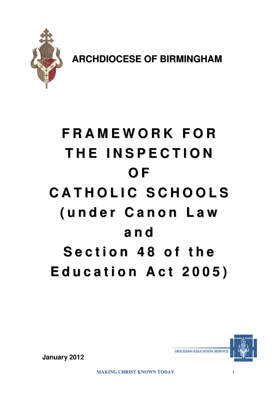

**ARCHDIOCESE OF BIRMINGHAM**

# **F R A M E W O R K F O R T H E I N S P E C T I O N O F C A T H O L I C S C H O O L S ( u n d e r C a n o n L a w a n d S e c t i o n 4 8 o f t h e E d u c a t i o n A c t 2 0 0 5 )**



**January 2012**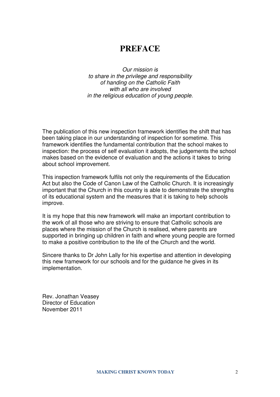# **PREFACE**

Our mission is to share in the privilege and responsibility of handing on the Catholic Faith with all who are involved in the religious education of young people.

The publication of this new inspection framework identifies the shift that has been taking place in our understanding of inspection for sometime. This framework identifies the fundamental contribution that the school makes to inspection: the process of self evaluation it adopts, the judgements the school makes based on the evidence of evaluation and the actions it takes to bring about school improvement.

This inspection framework fulfils not only the requirements of the Education Act but also the Code of Canon Law of the Catholic Church. It is increasingly important that the Church in this country is able to demonstrate the strengths of its educational system and the measures that it is taking to help schools improve.

It is my hope that this new framework will make an important contribution to the work of all those who are striving to ensure that Catholic schools are places where the mission of the Church is realised, where parents are supported in bringing up children in faith and where young people are formed to make a positive contribution to the life of the Church and the world.

Sincere thanks to Dr John Lally for his expertise and attention in developing this new framework for our schools and for the guidance he gives in its implementation.

Rev. Jonathan Veasey Director of Education November 2011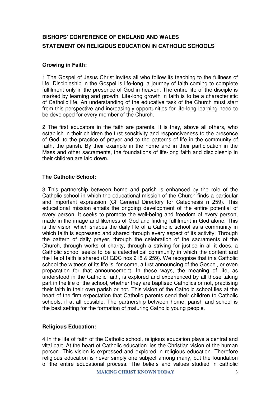# **BISHOPS' CONFERENCE OF ENGLAND AND WALES STATEMENT ON RELIGIOUS EDUCATION IN CATHOLIC SCHOOLS**

#### **Growing in Faith:**

1 The Gospel of Jesus Christ invites all who follow its teaching to the fullness of life. Discipleship in the Gospel is life-long, a journey of faith coming to complete fulfilment only in the presence of God in heaven. The entire life of the disciple is marked by learning and growth. Life-long growth in faith is to be a characteristic of Catholic life. An understanding of the educative task of the Church must start from this perspective and increasingly opportunities for life-long learning need to be developed for every member of the Church.

2 The first educators in the faith are parents. It is they, above all others, who establish in their children the first sensitivity and responsiveness to the presence of God, to the practice of prayer and to the patterns of life in the community of faith, the parish. By their example in the home and in their participation in the Mass and other sacraments, the foundations of life-long faith and discipleship in their children are laid down.

## **The Catholic School:**

3 This partnership between home and parish is enhanced by the role of the Catholic school in which the educational mission of the Church finds a particular and important expression (Cf General Directory for Catechesis n 259). This educational mission entails the ongoing development of the entire potential of every person. It seeks to promote the well-being and freedom of every person, made in the image and likeness of God and finding fulfilment in God alone. This is the vision which shapes the daily life of a Catholic school as a community in which faith is expressed and shared through every aspect of its activity. Through the pattern of daily prayer, through the celebration of the sacraments of the Church, through works of charity, through a striving for justice in all it does, a Catholic school seeks to be a catechetical community in which the content and the life of faith is shared (Cf GDC nos 218 & 259). We recognise that in a Catholic school the witness of its life is, for some, a first announcing of the Gospel, or even preparation for that announcement. In these ways, the meaning of life, as understood in the Catholic faith, is explored and experienced by all those taking part in the life of the school, whether they are baptised Catholics or not, practising their faith in their own parish or not. This vision of the Catholic school lies at the heart of the firm expectation that Catholic parents send their children to Catholic schools, if at all possible. The partnership between home, parish and school is the best setting for the formation of maturing Catholic young people.

#### **Religious Education:**

4 In the life of faith of the Catholic school, religious education plays a central and vital part. At the heart of Catholic education lies the Christian vision of the human person. This vision is expressed and explored in religious education. Therefore religious education is never simply one subject among many, but the foundation of the entire educational process. The beliefs and values studied in catholic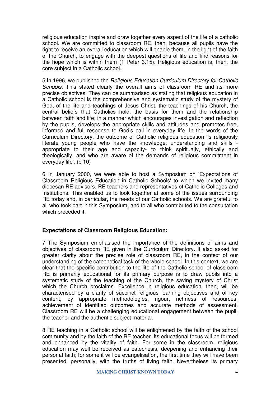religious education inspire and draw together every aspect of the life of a catholic school. We are committed to classroom RE, then, because all pupils have the right to receive an overall education which will enable them, in the light of the faith of the Church, to engage with the deepest questions of life and find reasons for the hope which is within them (1 Peter 3.15). Religious education is, then, the core subject in a Catholic school.

5 In 1996, we published the Religious Education Curriculum Directory for Catholic Schools. This stated clearly the overall aims of classroom RE and its more precise objectives. They can be summarised as stating that religious education in a Catholic school is the comprehensive and systematic study of the mystery of God, of the life and teachings of Jesus Christ, the teachings of his Church, the central beliefs that Catholics hold, the basis for them and the relationship between faith and life; in a manner which encourages investigation and reflection by the pupils, develops the appropriate skills and attitudes and promotes free, informed and full response to God's call in everyday life. In the words of the Curriculum Directory, the outcome of Catholic religious education 'is religiously literate young people who have the knowledge, understanding and skills appropriate to their age and capacity- to think spiritually, ethically and theologically, and who are aware of the demands of religious commitment in everyday life'. (p 10)

6 In January 2000, we were able to host a Symposium on 'Expectations of Classroom Religious Education in Catholic Schools' to which we invited many diocesan RE advisors, RE teachers and representatives of Catholic Colleges and Institutions. This enabled us to look together at some of the issues surrounding RE today and, in particular, the needs of our Catholic schools. We are grateful to all who took part in this Symposium, and to all who contributed to the consultation which preceded it.

#### **Expectations of Classroom Religious Education:**

7 The Symposium emphasised the importance of the definitions of aims and objectives of classroom RE given in the Curriculum Directory. It also asked for greater clarity about the precise role of classroom RE, in the context of our understanding of the catechetical task of the whole school. In this context, we are clear that the specific contribution to the life of the Catholic school of classroom RE is primarily educational for its primary purpose is to draw pupils into a systematic study of the teaching of the Church, the saving mystery of Christ which the Church proclaims. Excellence in religious education, then, will be characterised by a clarity of succinct religious learning objectives and of key content, by appropriate methodologies, rigour, richness of resources, achievement of identified outcomes and accurate methods of assessment. Classroom RE will be a challenging educational engagement between the pupil, the teacher and the authentic subject material.

8 RE teaching in a Catholic school will be enlightened by the faith of the school community and by the faith of the RE teacher. Its educational focus will be formed and enhanced by the vitality of faith. For some in the classroom, religious education may well be received as catechesis, deepening and enhancing their personal faith; for some it will be evangelisation, the first time they will have been presented, personally, with the truths of living faith. Nevertheless its primary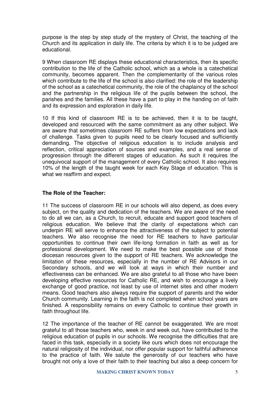purpose is the step by step study of the mystery of Christ, the teaching of the Church and its application in daily life. The criteria by which it is to be judged are educational.

9 When classroom RE displays these educational characteristics, then its specific contribution to the life of the Catholic school, which as a whole is a catechetical community, becomes apparent. Then the complementarity of the various roles which contribute to the life of the school is also clarified: the role of the leadership of the school as a catechetical community, the role of the chaplaincy of the school and the partnership in the religious life of the pupils between the school, the parishes and the families. All these have a part to play in the handing on of faith and its expression and exploration in daily life.

10 If this kind of classroom RE is to be achieved, then it is to be taught, developed and resourced with the same commitment as any other subject. We are aware that sometimes classroom RE suffers from low expectations and lack of challenge. Tasks given to pupils need to be clearly focused and sufficiently demanding. The objective of religious education is to include analysis and reflection, critical appreciation of sources and examples, and a real sense of progression through the different stages of education. As such it requires the unequivocal support of the management of every Catholic school. It also requires 10% of the length of the taught week for each Key Stage of education. This is what we reaffirm and expect.

#### **The Role of the Teacher:**

11 The success of classroom RE in our schools will also depend, as does every subject, on the quality and dedication of the teachers. We are aware of the need to do all we can, as a Church, to recruit, educate and support good teachers of religious education. We believe that the clarity of expectations which can underpin RE will serve to enhance the attractiveness of the subject to potential teachers. We also recognise the need for RE teachers to have particular opportunities to continue their own life-long formation in faith as well as for professional development. We need to make the best possible use of those diocesan resources given to the support of RE teachers. We acknowledge the limitation of these resources, especially in the number of RE Advisors in our Secondary schools, and we will look at ways in which their number and effectiveness can be enhanced. We are also grateful to all those who have been developing effective resources for Catholic RE, and wish to encourage a lively exchange of good practice, not least by use of internet sites and other modern means. Good teachers also always require the support of parents and the wider Church community. Learning in the faith is not completed when school years are finished. A responsibility remains on every Catholic to continue their growth in faith throughout life.

12 The importance of the teacher of RE cannot be exaggerated. We are most grateful to all those teachers who, week in and week out, have contributed to the religious education of pupils in our schools. We recognise the difficulties that are faced in this task, especially in a society like ours which does not encourage the natural religiosity of the individual, nor offer popular support for faithful adherence to the practice of faith. We salute the generosity of our teachers who have brought not only a love of their faith to their teaching but also a deep concern for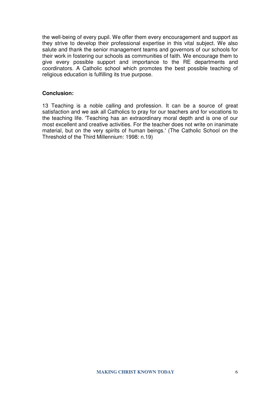the well-being of every pupil. We offer them every encouragement and support as they strive to develop their professional expertise in this vital subject. We also salute and thank the senior management teams and governors of our schools for their work in fostering our schools as communities of faith. We encourage them to give every possible support and importance to the RE departments and coordinators. A Catholic school which promotes the best possible teaching of religious education is fulfilling its true purpose.

#### **Conclusion:**

13 Teaching is a noble calling and profession. It can be a source of great satisfaction and we ask all Catholics to pray for our teachers and for vocations to the teaching life. 'Teaching has an extraordinary moral depth and is one of our most excellent and creative activities. For the teacher does not write on inanimate material, but on the very spirits of human beings.' (The Catholic School on the Threshold of the Third Millennium: 1998: n.19)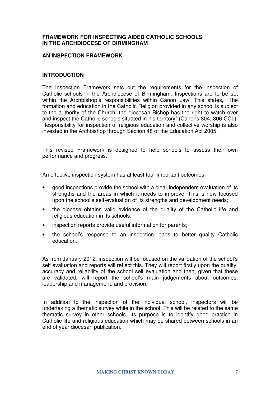#### **FRAMEWORK FOR INSPECTING AIDED CATHOLIC SCHOOLS IN THE ARCHDIOCESE OF BIRMINGHAM**

#### **AN INSPECTION FRAMEWORK**

#### **INTRODUCTION**

The Inspection Framework sets out the requirements for the inspection of Catholic schools in the Archdiocese of Birmingham. Inspections are to be set within the Archbishop's responsibilities within Canon Law. This states, "The formation and education in the Catholic Religion provided in any school is subject to the authority of the Church: the diocesan Bishop has the right to watch over and inspect the Catholic schools situated in his territory" (Canons 804, 806 CCL). Responsibility for inspection of religious education and collective worship is also invested in the Archbishop through Section 48 of the Education Act 2005.

This revised Framework is designed to help schools to assess their own performance and progress.

An effective inspection system has at least four important outcomes:

- good inspections provide the school with a clear independent evaluation of its strengths and the areas in which it needs to improve. This is now focused upon the school's self-evaluation of its strengths and development needs;
- the diocese obtains valid evidence of the quality of the Catholic life and religious education in its schools:
- inspection reports provide useful information for parents;
- the school's response to an inspection leads to better quality Catholic education.

As from January 2012, inspection will be focused on the validation of the school's self evaluation and reports will reflect this. They will report firstly upon the quality, accuracy and reliability of the school self evaluation and then, given that these are validated, will report the school's main judgements about outcomes, leadership and management, and provision.

In addition to the inspection of the individual school, inspectors will be undertaking a thematic survey while in the school. This will be related to the same thematic survey in other schools. Its purpose is to identify good practice in Catholic life and religious education which may be shared between schools in an end of year diocesan publication.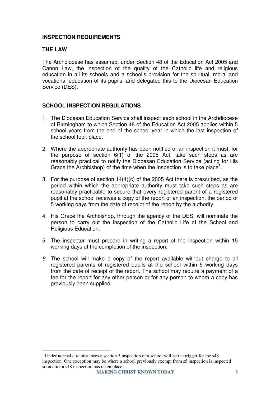#### **INSPECTION REQUIREMENTS**

#### **THE LAW**

The Archdiocese has assumed, under Section 48 of the Education Act 2005 and Canon Law, the inspection of the quality of the Catholic life and religious education in all its schools and a school's provision for the spiritual, moral and vocational education of its pupils, and delegated this to the Diocesan Education Service (DES).

#### **SCHOOL INSPECTION REGULATIONS**

- 1. The Diocesan Education Service shall inspect each school in the Archdiocese of Birmingham to which Section 48 of the Education Act 2005 applies within 5 school years from the end of the school year in which the last inspection of the school took place.
- 2. Where the appropriate authority has been notified of an inspection it must, for the purpose of section 6(1) of the 2005 Act, take such steps as are reasonably practical to notify the Diocesan Education Service (acting for His Grace the Archbishop) of the time when the inspection is to take place<sup>1</sup>.
- 3. For the purpose of section 14(4)(c) of the 2005 Act there is prescribed, as the period within which the appropriate authority must take such steps as are reasonably practicable to secure that every registered parent of a registered pupil at the school receives a copy of the report of an inspection, the period of 5 working days from the date of receipt of the report by the authority.
- 4. His Grace the Archbishop, through the agency of the DES, will nominate the person to carry out the inspection of the Catholic Life of the School and Religious Education.
- 5. The inspector must prepare in writing a report of the inspection within 15 working days of the completion of the inspection.
- 6. The school will make a copy of the report available without charge to all registered parents of registered pupils at the school within 5 working days from the date of receipt of the report. The school may require a payment of a fee for the report for any other person or for any person to whom a copy has previously been supplied.

 $\overline{a}$ <sup>1</sup> Under normal circumstances a section 5 inspection of a school will be the trigger for the  $s48$ inspection. One exception may be where a school previously exempt from s5 inspection is inspected soon after a s48 inspection has taken place.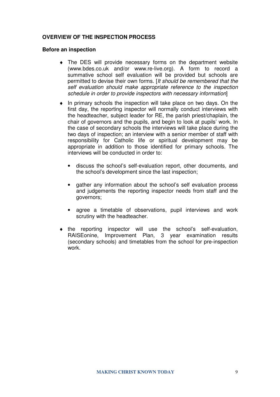#### **OVERVIEW OF THE INSPECTION PROCESS**

#### **Before an inspection**

- ♦ The DES will provide necessary forms on the department website (www.bdes.co.uk and/or www.re-live.org). A form to record a summative school self evaluation will be provided but schools are permitted to devise their own forms. [It should be remembered that the self evaluation should make appropriate reference to the inspection schedule in order to provide inspectors with necessary information]
- $\bullet$  In primary schools the inspection will take place on two days. On the first day, the reporting inspector will normally conduct interviews with the headteacher, subject leader for RE, the parish priest/chaplain, the chair of governors and the pupils, and begin to look at pupils' work. In the case of secondary schools the interviews will take place during the two days of inspection; an interview with a senior member of staff with responsibility for Catholic life or spiritual development may be appropriate in addition to those identified for primary schools. The interviews will be conducted in order to:
	- discuss the school's self-evaluation report, other documents, and the school's development since the last inspection;
	- gather any information about the school's self evaluation process and judgements the reporting inspector needs from staff and the governors;
	- agree a timetable of observations, pupil interviews and work scrutiny with the headteacher.
- the reporting inspector will use the school's self-evaluation, RAISEonine, Improvement Plan, 3 year examination results (secondary schools) and timetables from the school for pre-inspection work.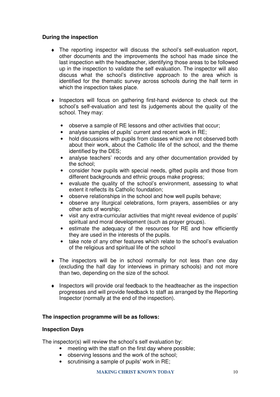#### **During the inspection**

- ♦ The reporting inspector will discuss the school's self-evaluation report, other documents and the improvements the school has made since the last inspection with the headteacher, identifying those areas to be followed up in the inspection to validate the self evaluation. The inspector will also discuss what the school's distinctive approach to the area which is identified for the thematic survey across schools during the half term in which the inspection takes place.
- ♦ Inspectors will focus on gathering first-hand evidence to check out the school's self-evaluation and test its judgements about the quality of the school. They may:
	- observe a sample of RE lessons and other activities that occur;
	- analyse samples of pupils' current and recent work in RE;
	- hold discussions with pupils from classes which are not observed both about their work, about the Catholic life of the school, and the theme identified by the DES;
	- analyse teachers' records and any other documentation provided by the school;
	- consider how pupils with special needs, gifted pupils and those from different backgrounds and ethnic groups make progress;
	- evaluate the quality of the school's environment, assessing to what extent it reflects its Catholic foundation;
	- observe relationships in the school and how well pupils behave;
	- observe any liturgical celebrations, form prayers, assemblies or any other acts of worship;
	- visit any extra-curricular activities that might reveal evidence of pupils' spiritual and moral development (such as prayer groups).
	- estimate the adequacy of the resources for RE and how efficiently they are used in the interests of the pupils.
	- take note of any other features which relate to the school's evaluation of the religious and spiritual life of the school
- ♦ The inspectors will be in school normally for not less than one day (excluding the half day for interviews in primary schools) and not more than two, depending on the size of the school.
- ♦ Inspectors will provide oral feedback to the headteacher as the inspection progresses and will provide feedback to staff as arranged by the Reporting Inspector (normally at the end of the inspection).

#### **The inspection programme will be as follows:**

#### **Inspection Days**

The inspector(s) will review the school's self evaluation by:

- meeting with the staff on the first day where possible;
- observing lessons and the work of the school;
- scrutinising a sample of pupils' work in RE;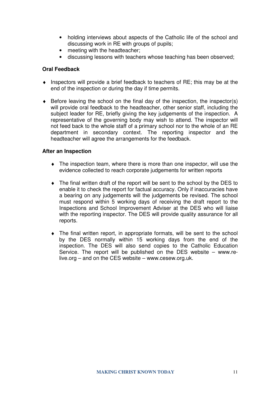- holding interviews about aspects of the Catholic life of the school and discussing work in RE with groups of pupils;
- meeting with the headteacher;
- discussing lessons with teachers whose teaching has been observed;

#### **Oral Feedback**

- $\bullet$  Inspectors will provide a brief feedback to teachers of RE; this may be at the end of the inspection or during the day if time permits.
- $\bullet$  Before leaving the school on the final day of the inspection, the inspector(s) will provide oral feedback to the headteacher, other senior staff, including the subject leader for RE, briefly giving the key judgements of the inspection. A representative of the governing body may wish to attend. The inspector will not feed back to the whole staff of a primary school nor to the whole of an RE department in secondary context. The reporting inspector and the headteacher will agree the arrangements for the feedback.

#### **After an Inspection**

- ♦ The inspection team, where there is more than one inspector, will use the evidence collected to reach corporate judgements for written reports
- ♦ The final written draft of the report will be sent to the school by the DES to enable it to check the report for factual accuracy. Only if inaccuracies have a bearing on any judgements will the judgements be revised. The school must respond within 5 working days of receiving the draft report to the Inspections and School Improvement Adviser at the DES who will liaise with the reporting inspector. The DES will provide quality assurance for all reports.
- ♦ The final written report, in appropriate formats, will be sent to the school by the DES normally within 15 working days from the end of the inspection. The DES will also send copies to the Catholic Education Service. The report will be published on the DES website – www.relive.org – and on the CES website – www.cesew.org.uk.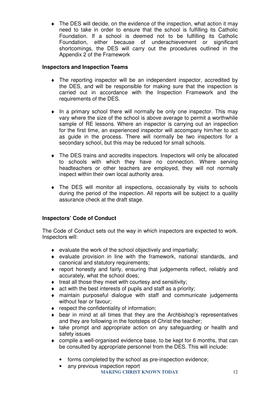• The DES will decide, on the evidence of the inspection, what action it may need to take in order to ensure that the school is fulfilling its Catholic Foundation. If a school is deemed not to be fulfilling its Catholic Foundation, either because of underachievement or significant shortcomings, the DES will carry out the procedures outlined in the Appendix 2 of the Framework

#### **Inspectors and Inspection Teams**

- ♦ The reporting inspector will be an independent inspector, accredited by the DES, and will be responsible for making sure that the inspection is carried out in accordance with the Inspection Framework and the requirements of the DES.
- ♦ In a primary school there will normally be only one inspector. This may vary where the size of the school is above average to permit a worthwhile sample of RE lessons. Where an inspector is carrying out an inspection for the first time, an experienced inspector will accompany him/her to act as guide in the process. There will normally be two inspectors for a secondary school, but this may be reduced for small schools.
- ♦ The DES trains and accredits inspectors. Inspectors will only be allocated to schools with which they have no connection. Where serving headteachers or other teachers are employed, they will not normally inspect within their own local authority area.
- ♦ The DES will monitor all inspections, occasionally by visits to schools during the period of the inspection. All reports will be subject to a quality assurance check at the draft stage.

# **Inspectors' Code of Conduct**

The Code of Conduct sets out the way in which inspectors are expected to work. Inspectors will:

- $\bullet$  evaluate the work of the school objectively and impartially;
- ♦ evaluate provision in line with the framework, national standards, and canonical and statutory requirements;
- ♦ report honestly and fairly, ensuring that judgements reflect, reliably and accurately, what the school does;
- ♦ treat all those they meet with courtesy and sensitivity;
- ♦ act with the best interests of pupils and staff as a priority;
- ♦ maintain purposeful dialogue with staff and communicate judgements without fear or favour;
- ♦ respect the confidentiality of information;
- ♦ bear in mind at all times that they are the Archbishop's representatives and they are following in the footsteps of Christ the teacher;
- ♦ take prompt and appropriate action on any safeguarding or health and safety issues
- ♦ compile a well-organised evidence base, to be kept for 6 months, that can be consulted by appropriate personnel from the DES. This will include:
	- forms completed by the school as pre-inspection evidence;
	- any previous inspection report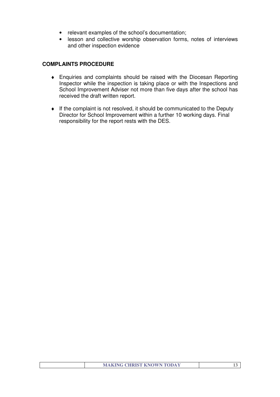- relevant examples of the school's documentation;
- lesson and collective worship observation forms, notes of interviews and other inspection evidence

#### **COMPLAINTS PROCEDURE**

- ♦ Enquiries and complaints should be raised with the Diocesan Reporting Inspector while the inspection is taking place or with the Inspections and School Improvement Adviser not more than five days after the school has received the draft written report.
- ♦ If the complaint is not resolved, it should be communicated to the Deputy Director for School Improvement within a further 10 working days. Final responsibility for the report rests with the DES.

| <b>MAKING CHRIST KNOWN TODAY</b> |  |
|----------------------------------|--|
|                                  |  |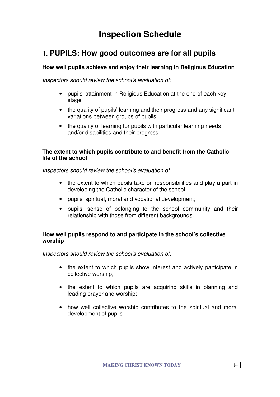# **Inspection Schedule**

# **1. PUPILS: How good outcomes are for all pupils**

# **How well pupils achieve and enjoy their learning in Religious Education**

Inspectors should review the school's evaluation of:

- pupils' attainment in Religious Education at the end of each key stage
- the quality of pupils' learning and their progress and any significant variations between groups of pupils
- the quality of learning for pupils with particular learning needs and/or disabilities and their progress

## **The extent to which pupils contribute to and benefit from the Catholic life of the school**

Inspectors should review the school's evaluation of:

- the extent to which pupils take on responsibilities and play a part in developing the Catholic character of the school;
- pupils' spiritual, moral and vocational development;
- pupils' sense of belonging to the school community and their relationship with those from different backgrounds.

# **How well pupils respond to and participate in the school's collective worship**

Inspectors should review the school's evaluation of:

- the extent to which pupils show interest and actively participate in collective worship;
- the extent to which pupils are acquiring skills in planning and leading prayer and worship;
- how well collective worship contributes to the spiritual and moral development of pupils.

| <b>MAKING CHRIST KNOWN TODAY</b> |  |
|----------------------------------|--|
|                                  |  |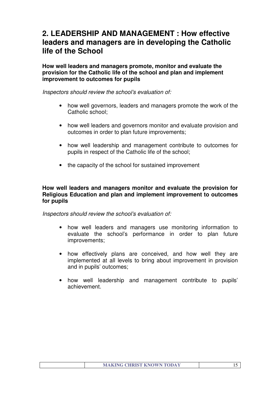# **2. LEADERSHIP AND MANAGEMENT : How effective leaders and managers are in developing the Catholic life of the School**

**How well leaders and managers promote, monitor and evaluate the provision for the Catholic life of the school and plan and implement improvement to outcomes for pupils** 

Inspectors should review the school's evaluation of:

- how well governors, leaders and managers promote the work of the Catholic school;
- how well leaders and governors monitor and evaluate provision and outcomes in order to plan future improvements;
- how well leadership and management contribute to outcomes for pupils in respect of the Catholic life of the school;
- the capacity of the school for sustained improvement

#### **How well leaders and managers monitor and evaluate the provision for Religious Education and plan and implement improvement to outcomes for pupils**

Inspectors should review the school's evaluation of:

- how well leaders and managers use monitoring information to evaluate the school's performance in order to plan future improvements;
- how effectively plans are conceived, and how well they are implemented at all levels to bring about improvement in provision and in pupils' outcomes;
- how well leadership and management contribute to pupils' achievement.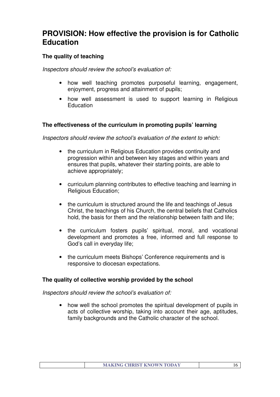# **PROVISION: How effective the provision is for Catholic Education**

# **The quality of teaching**

Inspectors should review the school's evaluation of:

- how well teaching promotes purposeful learning, engagement, enjoyment, progress and attainment of pupils;
- how well assessment is used to support learning in Religious **Education**

# **The effectiveness of the curriculum in promoting pupils' learning**

Inspectors should review the school's evaluation of the extent to which:

- the curriculum in Religious Education provides continuity and progression within and between key stages and within years and ensures that pupils, whatever their starting points, are able to achieve appropriately;
- curriculum planning contributes to effective teaching and learning in Religious Education;
- the curriculum is structured around the life and teachings of Jesus Christ, the teachings of his Church, the central beliefs that Catholics hold, the basis for them and the relationship between faith and life;
- the curriculum fosters pupils' spiritual, moral, and vocational development and promotes a free, informed and full response to God's call in everyday life;
- the curriculum meets Bishops' Conference requirements and is responsive to diocesan expectations.

# **The quality of collective worship provided by the school**

Inspectors should review the school's evaluation of:

• how well the school promotes the spiritual development of pupils in acts of collective worship, taking into account their age, aptitudes, family backgrounds and the Catholic character of the school.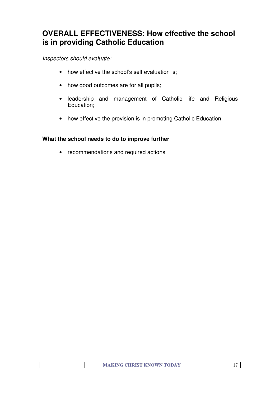# **OVERALL EFFECTIVENESS: How effective the school is in providing Catholic Education**

# Inspectors should evaluate:

- how effective the school's self evaluation is;
- how good outcomes are for all pupils;
- leadership and management of Catholic life and Religious Education;
- how effective the provision is in promoting Catholic Education.

## **What the school needs to do to improve further**

• recommendations and required actions

| <b>MAKING CHRIST KNOWN TODAY</b> |  |
|----------------------------------|--|
|                                  |  |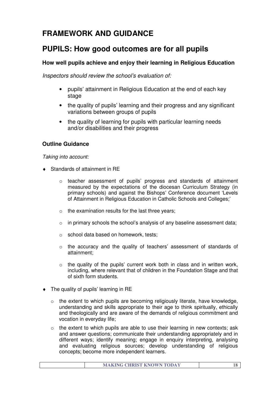# **FRAMEWORK AND GUIDANCE**

# **PUPILS: How good outcomes are for all pupils**

# **How well pupils achieve and enjoy their learning in Religious Education**

Inspectors should review the school's evaluation of:

- pupils' attainment in Religious Education at the end of each key stage
- the quality of pupils' learning and their progress and any significant variations between groups of pupils
- the quality of learning for pupils with particular learning needs and/or disabilities and their progress

# **Outline Guidance**

Taking into account:

- ♦ Standards of attainment in RE
	- o teacher assessment of pupils' progress and standards of attainment measured by the expectations of the diocesan Curriculum Strategy (in primary schools) and against the Bishops' Conference document 'Levels of Attainment in Religious Education in Catholic Schools and Colleges;'
	- $\circ$  the examination results for the last three years;
	- o in primary schools the school's analysis of any baseline assessment data;
	- o school data based on homework, tests;
	- $\circ$  the accuracy and the quality of teachers' assessment of standards of attainment;
	- $\circ$  the quality of the pupils' current work both in class and in written work, including, where relevant that of children in the Foundation Stage and that of sixth form students.
- ♦ The quality of pupils' learning in RE
	- o the extent to which pupils are becoming religiously literate, have knowledge, understanding and skills appropriate to their age to think spiritually, ethically and theologically and are aware of the demands of religious commitment and vocation in everyday life;
	- $\circ$  the extent to which pupils are able to use their learning in new contexts; ask and answer questions; communicate their understanding appropriately and in different ways; identify meaning; engage in enquiry interpreting, analysing and evaluating religious sources; develop understanding of religious concepts; become more independent learners.

| <b>MAKING CHRIST KNOWN TODAY</b> |
|----------------------------------|
|----------------------------------|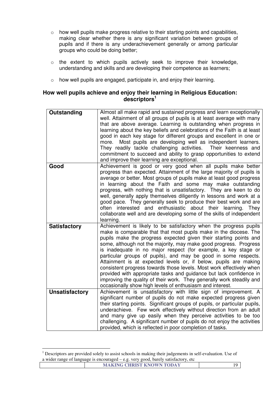- o how well pupils make progress relative to their starting points and capabilities, making clear whether there is any significant variation between groups of pupils and if there is any underachievement generally or among particular groups who could be doing better;
- o the extent to which pupils actively seek to improve their knowledge, understanding and skills and are developing their competence as learners;
- o how well pupils are engaged, participate in, and enjoy their learning.

#### **How well pupils achieve and enjoy their learning in Religious Education: descriptors<sup>1</sup>**

| Outstanding           | Almost all make rapid and sustained progress and learn exceptionally<br>well. Attainment of all groups of pupils is at least average with many<br>that are above average. Learning is outstanding when progress in<br>learning about the key beliefs and celebrations of the Faith is at least<br>good in each key stage for different groups and excellent in one or<br>Most pupils are developing well as independent learners.<br>more.<br>They readily tackle challenging activities.<br>Their keenness and<br>commitment to succeed and ability to grasp opportunities to extend<br>and improve their learning are exceptional.                                                                                                                                           |
|-----------------------|--------------------------------------------------------------------------------------------------------------------------------------------------------------------------------------------------------------------------------------------------------------------------------------------------------------------------------------------------------------------------------------------------------------------------------------------------------------------------------------------------------------------------------------------------------------------------------------------------------------------------------------------------------------------------------------------------------------------------------------------------------------------------------|
| Good                  | Achievement is good or very good when all pupils make better<br>progress than expected. Attainment of the large majority of pupils is<br>average or better. Most groups of pupils make at least good progress<br>in learning about the Faith and some may make outstanding<br>progress, with nothing that is unsatisfactory. They are keen to do<br>well, generally apply themselves diligently in lessons and work at a<br>good pace. They generally seek to produce their best work and are<br>often interested and enthusiastic about their learning. They<br>collaborate well and are developing some of the skills of independent<br>learning.                                                                                                                            |
| <b>Satisfactory</b>   | Achievement is likely to be satisfactory when the progress pupils<br>make is comparable that that most pupils make in the diocese. The<br>pupils make the progress expected given their starting points and<br>some, although not the majority, may make good progress. Progress<br>is inadequate in no major respect (for example, a key stage or<br>particular groups of pupils), and may be good in some respects.<br>Attainment is at expected levels or, if below, pupils are making<br>consistent progress towards those levels. Most work effectively when<br>provided with appropriate tasks and guidance but lack confidence in<br>improving the quality of their work. They generally work steadily and<br>occasionally show high levels of enthusiasm and interest. |
| <b>Unsatisfactory</b> | Achievement is unsatisfactory with little sign of improvement. A<br>significant number of pupils do not make expected progress given<br>their starting points. Significant groups of pupils, or particular pupils,<br>underachieve. Few work effectively without direction from an adult<br>and many give up easily when they perceive activities to be too<br>challenging. A significant number of pupils do not enjoy the activities<br>provided, which is reflected in poor completion of tasks.                                                                                                                                                                                                                                                                            |

**MAKING CHRIST KNOWN TODAY** 19 <sup>1</sup> Descriptors are provided solely to assist schools in making their judgements in self-evaluation. Use of a wider range of language is encouraged – e.g. very good, barely satisfactory, etc

 $\overline{a}$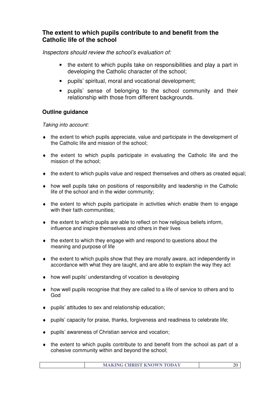# **The extent to which pupils contribute to and benefit from the Catholic life of the school**

Inspectors should review the school's evaluation of:

- the extent to which pupils take on responsibilities and play a part in developing the Catholic character of the school;
- pupils' spiritual, moral and vocational development;
- pupils' sense of belonging to the school community and their relationship with those from different backgrounds.

# **Outline guidance**

#### Taking into account:

- ♦ the extent to which pupils appreciate, value and participate in the development of the Catholic life and mission of the school;
- ♦ the extent to which pupils participate in evaluating the Catholic life and the mission of the school;
- $\bullet$  the extent to which pupils value and respect themselves and others as created equal;
- ♦ how well pupils take on positions of responsibility and leadership in the Catholic life of the school and in the wider community;
- $\bullet$  the extent to which pupils participate in activities which enable them to engage with their faith communities:
- $\bullet$  the extent to which pupils are able to reflect on how religious beliefs inform, influence and inspire themselves and others in their lives
- ♦ the extent to which they engage with and respond to questions about the meaning and purpose of life
- ♦ the extent to which pupils show that they are morally aware, act independently in accordance with what they are taught, and are able to explain the way they act
- ♦ how well pupils' understanding of vocation is developing
- ♦ how well pupils recognise that they are called to a life of service to others and to God
- ♦ pupils' attitudes to sex and relationship education;
- ♦ pupils' capacity for praise, thanks, forgiveness and readiness to celebrate life;
- ♦ pupils' awareness of Christian service and vocation;
- $\bullet$  the extent to which pupils contribute to and benefit from the school as part of a cohesive community within and beyond the school;

|  |  | <b>MAKING CHRIST KNOWN TODAY</b> |  |
|--|--|----------------------------------|--|
|--|--|----------------------------------|--|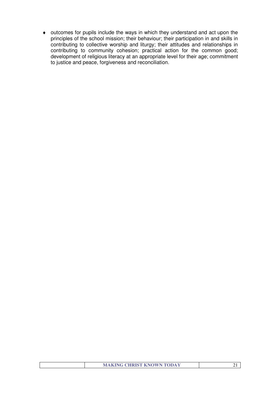♦ outcomes for pupils include the ways in which they understand and act upon the principles of the school mission; their behaviour; their participation in and skills in contributing to collective worship and liturgy; their attitudes and relationships in contributing to community cohesion; practical action for the common good; development of religious literacy at an appropriate level for their age; commitment to justice and peace, forgiveness and reconciliation.

| <b>MAKING CHRIST KNOWN TODAY</b> |
|----------------------------------|
|----------------------------------|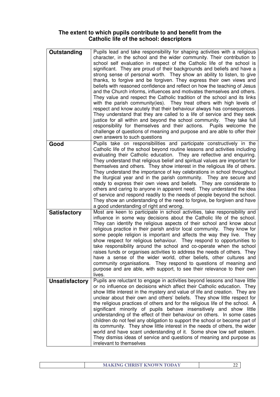## **The extent to which pupils contribute to and benefit from the Catholic life of the school: descriptors**

| Outstanding           | Pupils lead and take responsibility for shaping activities with a religious<br>character, in the school and the wider community. Their contribution to<br>school self evaluation in respect of the Catholic life of the school is<br>significant. They are proud of their backgrounds and beliefs and have a<br>strong sense of personal worth. They show an ability to listen, to give<br>thanks, to forgive and be forgiven. They express their own views and<br>beliefs with reasoned confidence and reflect on how the teaching of Jesus<br>and the Church informs, influences and motivates themselves and others.<br>They value and respect the Catholic tradition of the school and its links<br>with the parish community(ies). They treat others with high levels of<br>respect and know acutely that their behaviour always has consequences.<br>They understand that they are called to a life of service and they seek<br>justice for all within and beyond the school community. They take full<br>responsibility for themselves and their actions.  Pupils welcome the<br>challenge of questions of meaning and purpose and are able to offer their<br>own answers to such questions |
|-----------------------|----------------------------------------------------------------------------------------------------------------------------------------------------------------------------------------------------------------------------------------------------------------------------------------------------------------------------------------------------------------------------------------------------------------------------------------------------------------------------------------------------------------------------------------------------------------------------------------------------------------------------------------------------------------------------------------------------------------------------------------------------------------------------------------------------------------------------------------------------------------------------------------------------------------------------------------------------------------------------------------------------------------------------------------------------------------------------------------------------------------------------------------------------------------------------------------------------|
| Good                  | Pupils take on responsibilities and participate constructively in the<br>Catholic life of the school beyond routine lessons and activities including<br>evaluating their Catholic education. They are reflective and enquiring.<br>They understand that religious belief and spiritual values are important for<br>themselves and others. They show interest in the religious life of others.<br>They understand the importance of key celebrations in school throughout<br>the liturgical year and in the parish community. They are secure and<br>ready to express their own views and beliefs. They are considerate to<br>others and caring to anyone in apparent need. They understand the idea<br>of service and respond readily to the needs of people beyond the school.<br>They show an understanding of the need to forgive, be forgiven and have<br>a good understanding of right and wrong.                                                                                                                                                                                                                                                                                             |
| <b>Satisfactory</b>   | Most are keen to participate in school activities, take responsibility and<br>influence in some way decisions about the Catholic life of the school.<br>They can identify the religious aspects of their school and know about<br>religious practice in their parish and/or local community. They know for<br>some people religion is important and affects the way they live. They<br>show respect for religious behaviour. They respond to opportunities to<br>take responsibility around the school and co-operate when the school<br>raises funds or organises activities to address the needs of others. They<br>have a sense of the wider world, other beliefs, other cultures and<br>community organisations. They respond to questions of meaning and<br>purpose and are able, with support, to see their relevance to their own<br>lives.                                                                                                                                                                                                                                                                                                                                                 |
| <b>Unsatisfactory</b> | Pupils are reluctant to engage in activities beyond lessons and have little<br>or no influence on decisions which affect their Catholic education. They<br>show little interest in the mystery and value of life and creation. They are<br>unclear about their own and others' beliefs. They show little respect for<br>the religious practices of others and for the religious life of the school. A<br>significant minority of pupils behave insensitively and show little<br>understanding of the effect of their behaviour on others. In some cases<br>children do not feel any obligation to support the school or become part of<br>its community. They show little interest in the needs of others, the wider<br>world and have scant understanding of it. Some show low self esteem.<br>They dismiss ideas of service and questions of meaning and purpose as<br>irrelevant to themselves                                                                                                                                                                                                                                                                                                  |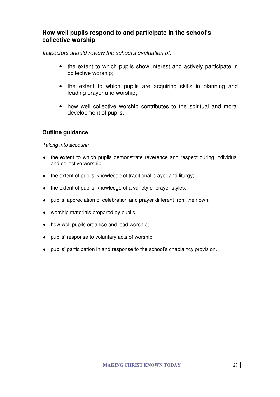# **How well pupils respond to and participate in the school's collective worship**

Inspectors should review the school's evaluation of:

- the extent to which pupils show interest and actively participate in collective worship;
- the extent to which pupils are acquiring skills in planning and leading prayer and worship;
- how well collective worship contributes to the spiritual and moral development of pupils.

# **Outline guidance**

Taking into account:

- ♦ the extent to which pupils demonstrate reverence and respect during individual and collective worship;
- $\bullet$  the extent of pupils' knowledge of traditional prayer and liturgy;
- ♦ the extent of pupils' knowledge of a variety of prayer styles;
- ♦ pupils' appreciation of celebration and prayer different from their own;
- ♦ worship materials prepared by pupils;
- $\bullet$  how well pupils organise and lead worship;
- ♦ pupils' response to voluntary acts of worship;
- ♦ pupils' participation in and response to the school's chaplaincy provision.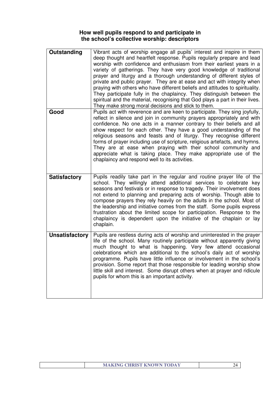## **How well pupils respond to and participate in the school's collective worship: descriptors**

| Outstanding           | Vibrant acts of worship engage all pupils' interest and inspire in them<br>deep thought and heartfelt response. Pupils regularly prepare and lead<br>worship with confidence and enthusiasm from their earliest years in a<br>variety of gatherings. They have very good knowledge of traditional<br>prayer and liturgy and a thorough understanding of different styles of<br>private and public prayer. They are at ease and act with integrity when<br>praying with others who have different beliefs and attitudes to spirituality.<br>They participate fully in the chaplaincy. They distinguish between the<br>spiritual and the material, recognising that God plays a part in their lives.<br>They make strong moral decisions and stick to them. |
|-----------------------|-----------------------------------------------------------------------------------------------------------------------------------------------------------------------------------------------------------------------------------------------------------------------------------------------------------------------------------------------------------------------------------------------------------------------------------------------------------------------------------------------------------------------------------------------------------------------------------------------------------------------------------------------------------------------------------------------------------------------------------------------------------|
| Good                  | Pupils act with reverence and are keen to participate. They sing joyfully,<br>reflect in silence and join in community prayers appropriately and with<br>confidence. No one acts in a manner contrary to their beliefs and all<br>show respect for each other. They have a good understanding of the<br>religious seasons and feasts and of liturgy. They recognise different<br>forms of prayer including use of scripture, religious artefacts, and hymns.<br>They are at ease when praying with their school community and<br>appreciate what is taking place. They make appropriate use of the<br>chaplaincy and respond well to its activities.                                                                                                      |
| <b>Satisfactory</b>   | Pupils readily take part in the regular and routine prayer life of the<br>school. They willingly attend additional services to celebrate key<br>seasons and festivals or in response to tragedy. Their involvement does<br>not extend to planning and preparing acts of worship. Though able to<br>compose prayers they rely heavily on the adults in the school. Most of<br>the leadership and initiative comes from the staff. Some pupils express<br>frustration about the limited scope for participation. Response to the<br>chaplaincy is dependent upon the initiative of the chaplain or lay<br>chaplain.                                                                                                                                         |
| <b>Unsatisfactory</b> | Pupils are restless during acts of worship and uninterested in the prayer<br>life of the school. Many routinely participate without apparently giving<br>much thought to what is happening. Very few attend occasional<br>celebrations which are additional to the school's daily act of worship<br>programme. Pupils have little influence or involvement in the school's<br>provision. Some report that those responsible for leading worship show<br>little skill and interest. Some disrupt others when at prayer and ridicule<br>pupils for whom this is an important activity.                                                                                                                                                                      |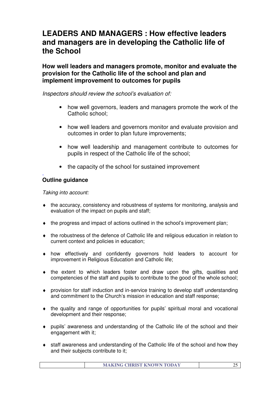# **LEADERS AND MANAGERS : How effective leaders and managers are in developing the Catholic life of the School**

**How well leaders and managers promote, monitor and evaluate the provision for the Catholic life of the school and plan and implement improvement to outcomes for pupils** 

Inspectors should review the school's evaluation of:

- how well governors, leaders and managers promote the work of the Catholic school;
- how well leaders and governors monitor and evaluate provision and outcomes in order to plan future improvements;
- how well leadership and management contribute to outcomes for pupils in respect of the Catholic life of the school;
- the capacity of the school for sustained improvement

#### . **Outline guidance**

Taking into account:

- ♦ the accuracy, consistency and robustness of systems for monitoring, analysis and evaluation of the impact on pupils and staff;
- ♦ the progress and impact of actions outlined in the school's improvement plan;
- ♦ the robustness of the defence of Catholic life and religious education in relation to current context and policies in education;
- ♦ how effectively and confidently governors hold leaders to account for improvement in Religious Education and Catholic life;
- ♦ the extent to which leaders foster and draw upon the gifts, qualities and competencies of the staff and pupils to contribute to the good of the whole school;
- ♦ provision for staff induction and in-service training to develop staff understanding and commitment to the Church's mission in education and staff response;
- $\bullet$  the quality and range of opportunities for pupils' spiritual moral and vocational development and their response;
- ♦ pupils' awareness and understanding of the Catholic life of the school and their engagement with it;
- staff awareness and understanding of the Catholic life of the school and how they and their subjects contribute to it;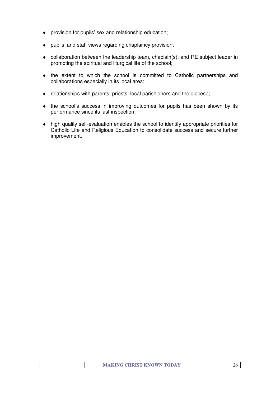- ♦ provision for pupils' sex and relationship education;
- ♦ pupils' and staff views regarding chaplaincy provision;
- ♦ collaboration between the leadership team, chaplain(s), and RE subject leader in promoting the spiritual and liturgical life of the school;
- ♦ the extent to which the school is committed to Catholic partnerships and collaborations especially in its local area;
- ♦ relationships with parents, priests, local parishioners and the diocese;
- ♦ the school's success in improving outcomes for pupils has been shown by its performance since its last inspection;
- ♦ high quality self-evaluation enables the school to identify appropriate priorities for Catholic Life and Religious Education to consolidate success and secure further improvement.

| <b>MAKING CHRIST KNOWN TODAY</b> |  |
|----------------------------------|--|
|                                  |  |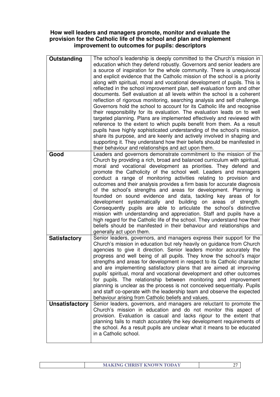## **How well leaders and managers promote, monitor and evaluate the provision for the Catholic life of the school and plan and implement improvement to outcomes for pupils: descriptors**

| Outstanding           | The school's leadership is deeply committed to the Church's mission in                                                                       |
|-----------------------|----------------------------------------------------------------------------------------------------------------------------------------------|
|                       | education which they defend robustly. Governors and senior leaders are                                                                       |
|                       | a source of inspiration for the whole community. There is unequivocal                                                                        |
|                       | and explicit evidence that the Catholic mission of the school is a priority                                                                  |
|                       | along with spiritual, moral and vocational development of pupils. This is                                                                    |
|                       | reflected in the school improvement plan, self evaluation form and other                                                                     |
|                       | documents. Self evaluation at all levels within the school is a coherent                                                                     |
|                       | reflection of rigorous monitoring, searching analysis and self challenge.                                                                    |
|                       | Governors hold the school to account for its Catholic life and recognise                                                                     |
|                       | their responsibility for its evaluation. The evaluation leads on to well                                                                     |
|                       | targeted planning. Plans are implemented effectively and reviewed with                                                                       |
|                       | reference to the extent to which pupils benefit from them. As a result                                                                       |
|                       | pupils have highly sophisticated understanding of the school's mission,                                                                      |
|                       | share its purpose, and are keenly and actively involved in shaping and                                                                       |
|                       | supporting it. They understand how their beliefs should be manifested in                                                                     |
|                       | their behaviour and relationships and act upon them.                                                                                         |
| Good                  | Leaders and governors demonstrate commitment to the mission of the                                                                           |
|                       | Church by providing a rich, broad and balanced curriculum with spiritual,                                                                    |
|                       | moral and vocational development as priorities. They defend and                                                                              |
|                       | promote the Catholicity of the school well. Leaders and managers                                                                             |
|                       | conduct a range of monitoring activities relating to provision and                                                                           |
|                       | outcomes and their analysis provides a firm basis for accurate diagnosis<br>of the school's strengths and areas for development. Planning is |
|                       | founded on sound evidence and data, tackling key areas of for                                                                                |
|                       | development systematically and building on areas of strength.                                                                                |
|                       | Consequently pupils are able to articulate the school's distinctive                                                                          |
|                       | mission with understanding and appreciation. Staff and pupils have a                                                                         |
|                       | high regard for the Catholic life of the school. They understand how their                                                                   |
|                       | beliefs should be manifested in their behaviour and relationships and                                                                        |
|                       | generally act upon them.                                                                                                                     |
| <b>Satisfactory</b>   | Senior leaders, governors, and managers express their support for the                                                                        |
|                       | Church's mission in education but rely heavily on guidance from Church                                                                       |
|                       | agencies to give it direction. Senior leaders monitor accurately the                                                                         |
|                       | progress and well being of all pupils. They know the school's major                                                                          |
|                       | strengths and areas for development in respect to its Catholic character                                                                     |
|                       | and are implementing satisfactory plans that are aimed at improving                                                                          |
|                       | pupils' spiritual, moral and vocational development and other outcomes                                                                       |
|                       | for pupils. The relationship between monitoring and improvement                                                                              |
|                       | planning is unclear as the process is not conceived sequentially. Pupils                                                                     |
|                       | and staff co-operate with the leadership team and observe the expected                                                                       |
| <b>Unsatisfactory</b> | behaviour arising from Catholic beliefs and values.<br>Senior leaders, governors, and managers are reluctant to promote the                  |
|                       | Church's mission in education and do not monitor this aspect of                                                                              |
|                       | provision. Evaluation is casual and lacks rigour to the extent that                                                                          |
|                       | planning fails to match accurately the key development requirements of                                                                       |
|                       | the school. As a result pupils are unclear what it means to be educated                                                                      |
|                       | in a Catholic school.                                                                                                                        |
|                       |                                                                                                                                              |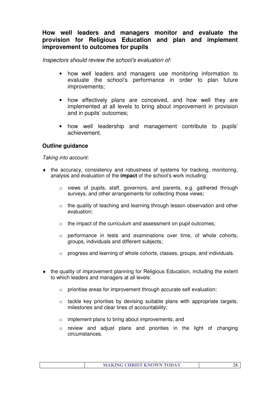# **How well leaders and managers monitor and evaluate the provision for Religious Education and plan and implement improvement to outcomes for pupils**

Inspectors should review the school's evaluation of:

- how well leaders and managers use monitoring information to evaluate the school's performance in order to plan future improvements;
- how effectively plans are conceived, and how well they are implemented at all levels to bring about improvement in provision and in pupils' outcomes;
- how well leadership and management contribute to pupils' achievement.

## **Outline guidance**

#### Taking into account:

- ♦ the accuracy, consistency and robustness of systems for tracking, monitoring, analysis and evaluation of the **impact** of the school's work including:
	- $\circ$  views of pupils, staff, governors, and parents, e.g. gathered through surveys, and other arrangements for collecting those views;
	- $\circ$  the quality of teaching and learning through lesson observation and other evaluation;
	- o the impact of the curriculum and assessment on pupil outcomes;
	- o performance in tests and examinations over time, of whole cohorts, groups, individuals and different subjects;
	- o progress and learning of whole cohorts, classes, groups, and individuals.
- ♦ the quality of improvement planning for Religious Education, including the extent to which leaders and managers at all levels:
	- o prioritise areas for improvement through accurate self evaluation;
	- o tackle key priorities by devising suitable plans with appropriate targets, milestones and clear lines of accountability;
	- o implement plans to bring about improvements; and
	- o review and adjust plans and priorities in the light of changing circumstances.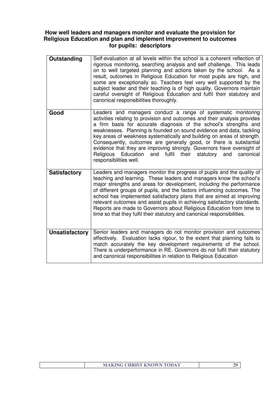## **How well leaders and managers monitor and evaluate the provision for Religious Education and plan and implement improvement to outcomes for pupils: descriptors**

| Outstanding           | Self-evaluation at all levels within the school is a coherent reflection of<br>rigorous monitoring, searching analysis and self challenge. This leads<br>on to well targeted planning and actions taken by the school. As a<br>result, outcomes in Religious Education for most pupils are high, and<br>some are exceptionally so. Teachers feel very well supported by the<br>subject leader and their teaching is of high quality. Governors maintain<br>careful oversight of Religious Education and fulfil their statutory and<br>canonical responsibilities thoroughly.                                                   |
|-----------------------|--------------------------------------------------------------------------------------------------------------------------------------------------------------------------------------------------------------------------------------------------------------------------------------------------------------------------------------------------------------------------------------------------------------------------------------------------------------------------------------------------------------------------------------------------------------------------------------------------------------------------------|
| Good                  | Leaders and managers conduct a range of systematic monitoring<br>activities relating to provision and outcomes and their analysis provides<br>a firm basis for accurate diagnosis of the school's strengths and<br>weaknesses. Planning is founded on sound evidence and data, tackling<br>key areas of weakness systematically and building on areas of strength.<br>Consequently, outcomes are generally good, or there is substantial<br>evidence that they are improving strongly. Governors have oversight of<br>Religious<br>Education<br>and fulfil<br>their<br>statutory<br>and<br>canonical<br>responsibilities well. |
| <b>Satisfactory</b>   | Leaders and managers monitor the progress of pupils and the quality of<br>teaching and learning. These leaders and managers know the school's<br>major strengths and areas for development, including the performance<br>of different groups of pupils, and the factors influencing outcomes. The<br>school has implemented satisfactory plans that are aimed at improving<br>relevant outcomes and assist pupils in achieving satisfactory standards.<br>Reports are made to Governors about Religious Education from time to<br>time so that they fulfil their statutory and canonical responsibilities.                     |
| <b>Unsatisfactory</b> | Senior leaders and managers do not monitor provision and outcomes<br>effectively. Evaluation lacks rigour, to the extent that planning fails to<br>match accurately the key development requirements of the school.<br>There is underperformance in RE. Governors do not fulfil their statutory<br>and canonical responsibilities in relation to Religious Education                                                                                                                                                                                                                                                           |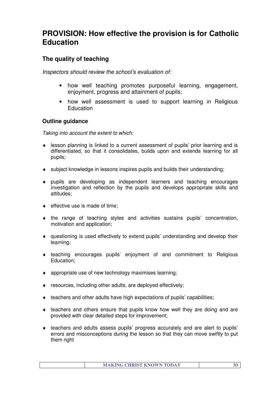# **PROVISION: How effective the provision is for Catholic Education**

# **The quality of teaching**

Inspectors should review the school's evaluation of:

- how well teaching promotes purposeful learning, engagement, enjoyment, progress and attainment of pupils;
- how well assessment is used to support learning in Religious **Education**

# **Outline guidance**

Taking into account the extent to which:

- ♦ lesson planning is linked to a current assessment of pupils' prior learning and is differentiated, so that it consolidates, builds upon and extends learning for all pupils;
- ♦ subject knowledge in lessons inspires pupils and builds their understanding;
- ♦ pupils are developing as independent learners and teaching encourages investigation and reflection by the pupils and develops appropriate skills and attitudes;
- $\bullet$  effective use is made of time:
- ♦ the range of teaching styles and activities sustains pupils' concentration, motivation and application;
- ♦ questioning is used effectively to extend pupils' understanding and develop their learning;
- ♦ teaching encourages pupils' enjoyment of and commitment to Religious Education;
- ♦ appropriate use of new technology maximises learning;
- ♦ resources, including other adults, are deployed effectively;
- ♦ teachers and other adults have high expectations of pupils' capabilities;
- ♦ teachers and others ensure that pupils know how well they are doing and are provided with clear detailed steps for improvement;
- ♦ teachers and adults assess pupils' progress accurately and are alert to pupils' errors and misconceptions during the lesson so that they can move swiftly to put them right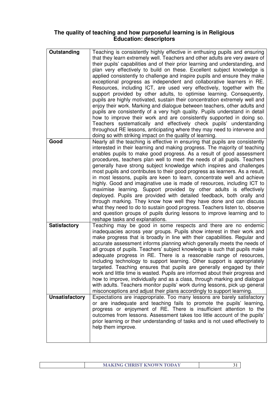## **The quality of teaching and how purposeful learning is in Religious Education: descriptors**

| Outstanding           | Teaching is consistently highly effective in enthusing pupils and ensuring                                                                               |  |
|-----------------------|----------------------------------------------------------------------------------------------------------------------------------------------------------|--|
|                       | that they learn extremely well. Teachers and other adults are very aware of                                                                              |  |
|                       | their pupils' capabilities and of their prior learning and understanding, and                                                                            |  |
|                       | plan very effectively to build on these. Excellent subject knowledge is                                                                                  |  |
|                       | applied consistently to challenge and inspire pupils and ensure they make                                                                                |  |
|                       | exceptional progress as independent and collaborative learners in RE.                                                                                    |  |
|                       |                                                                                                                                                          |  |
|                       | Resources, including ICT, are used very effectively, together with the                                                                                   |  |
|                       | support provided by other adults, to optimise learning. Consequently,                                                                                    |  |
|                       | pupils are highly motivated, sustain their concentration extremely well and<br>enjoy their work. Marking and dialogue between teachers, other adults and |  |
|                       |                                                                                                                                                          |  |
|                       | pupils are consistently of a very high quality. Pupils understand in detail<br>how to improve their work and are consistently supported in doing so.     |  |
|                       | Teachers systematically and effectively check pupils' understanding                                                                                      |  |
|                       | throughout RE lessons, anticipating where they may need to intervene and                                                                                 |  |
|                       | doing so with striking impact on the quality of learning.                                                                                                |  |
| Good                  | Nearly all the teaching is effective in ensuring that pupils are consistently                                                                            |  |
|                       | interested in their learning and making progress. The majority of teaching                                                                               |  |
|                       | enables pupils to make good progress. As a result of good assessment                                                                                     |  |
|                       | procedures, teachers plan well to meet the needs of all pupils. Teachers                                                                                 |  |
|                       | generally have strong subject knowledge which inspires and challenges                                                                                    |  |
|                       | most pupils and contributes to their good progress as learners. As a result,                                                                             |  |
|                       | in most lessons, pupils are keen to learn, concentrate well and achieve                                                                                  |  |
|                       | highly. Good and imaginative use is made of resources, including ICT to                                                                                  |  |
|                       | maximise learning. Support provided by other adults is effectively                                                                                       |  |
|                       | deployed. Pupils are provided with detailed feedback, both orally and                                                                                    |  |
|                       | through marking. They know how well they have done and can discuss                                                                                       |  |
|                       | what they need to do to sustain good progress. Teachers listen to, observe                                                                               |  |
|                       | and question groups of pupils during lessons to improve learning and to                                                                                  |  |
|                       | reshape tasks and explanations.                                                                                                                          |  |
| <b>Satisfactory</b>   | Teaching may be good in some respects and there are no endemic                                                                                           |  |
|                       | inadequacies across year groups. Pupils show interest in their work and                                                                                  |  |
|                       | make progress that is broadly in line with their capabilities. Regular and                                                                               |  |
|                       | accurate assessment informs planning which generally meets the needs of                                                                                  |  |
|                       | all groups of pupils. Teachers' subject knowledge is such that pupils make                                                                               |  |
|                       | adequate progress in RE. There is a reasonable range of resources,                                                                                       |  |
|                       | including technology to support learning. Other support is appropriately                                                                                 |  |
|                       | targeted. Teaching ensures that pupils are generally engaged by their                                                                                    |  |
|                       | work and little time is wasted. Pupils are informed about their progress and                                                                             |  |
|                       | how to improve, individually and as a class, through marking and dialogue                                                                                |  |
|                       | with adults. Teachers monitor pupils' work during lessons, pick up general                                                                               |  |
|                       | misconceptions and adjust their plans accordingly to support learning.                                                                                   |  |
| <b>Unsatisfactory</b> | Expectations are inappropriate. Too many lessons are barely satisfactory                                                                                 |  |
|                       | or are inadequate and teaching fails to promote the pupils' learning,                                                                                    |  |
|                       | progress or enjoyment of RE. There is insufficient attention to the                                                                                      |  |
|                       | outcomes from lessons. Assessment takes too little account of the pupils'                                                                                |  |
|                       | prior learning or their understanding of tasks and is not used effectively to                                                                            |  |
|                       | help them improve.                                                                                                                                       |  |
|                       |                                                                                                                                                          |  |
|                       |                                                                                                                                                          |  |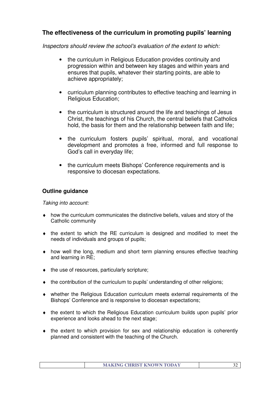# **The effectiveness of the curriculum in promoting pupils' learning**

Inspectors should review the school's evaluation of the extent to which:

- the curriculum in Religious Education provides continuity and progression within and between key stages and within years and ensures that pupils, whatever their starting points, are able to achieve appropriately;
- curriculum planning contributes to effective teaching and learning in Religious Education;
- the curriculum is structured around the life and teachings of Jesus Christ, the teachings of his Church, the central beliefs that Catholics hold, the basis for them and the relationship between faith and life;
- the curriculum fosters pupils' spiritual, moral, and vocational development and promotes a free, informed and full response to God's call in everyday life;
- the curriculum meets Bishops' Conference requirements and is responsive to diocesan expectations.

# **Outline guidance**

Taking into account:

- ♦ how the curriculum communicates the distinctive beliefs, values and story of the Catholic community
- ♦ the extent to which the RE curriculum is designed and modified to meet the needs of individuals and groups of pupils;
- ♦ how well the long, medium and short term planning ensures effective teaching and learning in RE;
- $\bullet$  the use of resources, particularly scripture;
- ♦ the contribution of the curriculum to pupils' understanding of other religions;
- ♦ whether the Religious Education curriculum meets external requirements of the Bishops' Conference and is responsive to diocesan expectations;
- ♦ the extent to which the Religious Education curriculum builds upon pupils' prior experience and looks ahead to the next stage;
- ♦ the extent to which provision for sex and relationship education is coherently planned and consistent with the teaching of the Church.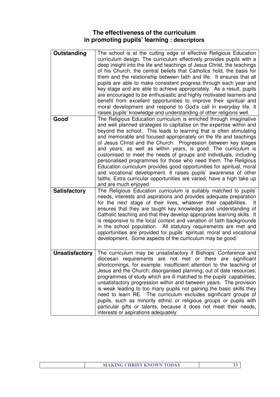# **The effectiveness of the curriculum in promoting pupils' learning : descriptors**

| Outstanding           | The school is at the cutting edge of effective Religious Education<br>curriculum design. The curriculum effectively provides pupils with a<br>deep insight into the life and teachings of Jesus Christ, the teachings<br>of his Church, the central beliefs that Catholics hold, the basis for<br>them and the relationship between faith and life. It ensures that all<br>pupils are able to make consistent progress through each year and<br>key stage and are able to achieve appropriately. As a result, pupils<br>are encouraged to be enthusiastic and highly motivated learners and<br>benefit from excellent opportunities to improve their spiritual and<br>moral development and respond to God's call in everyday life. It<br>raises pupils' knowledge and understanding of other religions well.      |
|-----------------------|--------------------------------------------------------------------------------------------------------------------------------------------------------------------------------------------------------------------------------------------------------------------------------------------------------------------------------------------------------------------------------------------------------------------------------------------------------------------------------------------------------------------------------------------------------------------------------------------------------------------------------------------------------------------------------------------------------------------------------------------------------------------------------------------------------------------|
| Good                  | The Religious Education curriculum is enriched through imaginative<br>and well planned strategies to capitalise on the expertise within and<br>beyond the school. This leads to learning that is often stimulating<br>and memorable and focused appropriately on the life and teachings<br>of Jesus Christ and the Church. Progression between key stages<br>and years, as well as within years, is good. The curriculum is<br>customised to meet the needs of groups and individuals, including<br>personalised programmes for those who need them. The Religious<br>Education curriculum provides good opportunities for spiritual, moral<br>and vocational development. It raises pupils' awareness of other<br>faiths. Extra curricular opportunities are varied, have a high take up<br>and are much enjoyed. |
| <b>Satisfactory</b>   | The Religious Education curriculum is suitably matched to pupils'<br>needs, interests and aspirations and provides adequate preparation<br>for the next stage of their lives, whatever their capabilities.<br>It<br>ensures that they are taught key knowledge and understanding of<br>Catholic teaching and that they develop appropriate learning skills. It<br>is responsive to the local context and variation of faith backgrounds<br>in the school population. All statutory requirements are met and<br>opportunities are provided for pupils' spiritual, moral and vocational<br>development. Some aspects of the curriculum may be good.                                                                                                                                                                  |
| <b>Unsatisfactory</b> | The curriculum may be unsatisfactory if Bishops' Conference and<br>diocesan requirements are not met or there are significant<br>shortcomings, for example: insufficient attention to the teaching of<br>Jesus and the Church; disorganised planning; out of date resources;<br>programmes of study which are ill matched to the pupils' capabilities;<br>unsatisfactory progression within and between years. The provision<br>is weak leading to too many pupils not gaining the basic skills they<br>need to learn RE. The curriculum excludes significant groups of<br>pupils, such as minority ethnic or religious groups or pupils with<br>particular gifts or talents, because it does not meet their needs,<br>interests or aspirations adequately.                                                        |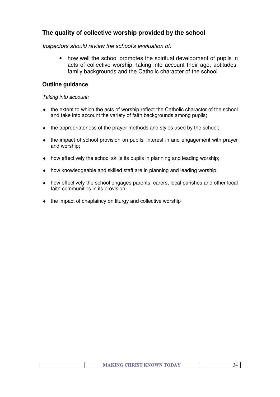# **The quality of collective worship provided by the school**

Inspectors should review the school's evaluation of:

• how well the school promotes the spiritual development of pupils in acts of collective worship, taking into account their age, aptitudes, family backgrounds and the Catholic character of the school.

## **Outline guidance**

Taking into account:

- $\bullet$  the extent to which the acts of worship reflect the Catholic character of the school and take into account the variety of faith backgrounds among pupils;
- ♦ the appropriateness of the prayer methods and styles used by the school;
- ♦ the impact of school provision on pupils' interest in and engagement with prayer and worship;
- $\bullet$  how effectively the school skills its pupils in planning and leading worship;
- ♦ how knowledgeable and skilled staff are in planning and leading worship;
- ♦ how effectively the school engages parents, carers, local parishes and other local faith communities in its provision.
- ♦ the impact of chaplaincy on liturgy and collective worship

| <b>MAKING CHRIST KNOWN TODAY</b> |  |
|----------------------------------|--|
|                                  |  |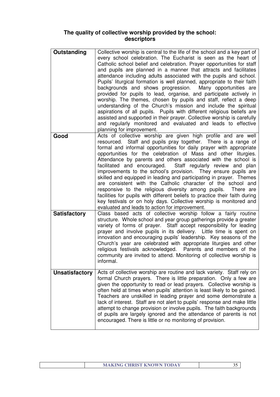# **The quality of collective worship provided by the school: descriptors**

| Outstanding           | Collective worship is central to the life of the school and a key part of<br>every school celebration. The Eucharist is seen as the heart of<br>Catholic school belief and celebration. Prayer opportunities for staff<br>and pupils are planned in a manner that attracts and facilitates<br>attendance including adults associated with the pupils and school.<br>Pupils' liturgical formation is well planned, appropriate to their faith<br>backgrounds and shows progression. Many opportunities are<br>provided for pupils to lead, organise, and participate actively in<br>worship. The themes, chosen by pupils and staff, reflect a deep<br>understanding of the Church's mission and include the spiritual<br>aspirations of all pupils. Pupils with different religious beliefs are<br>assisted and supported in their prayer. Collective worship is carefully<br>and regularly monitored and evaluated and leads to effective<br>planning for improvement. |
|-----------------------|-------------------------------------------------------------------------------------------------------------------------------------------------------------------------------------------------------------------------------------------------------------------------------------------------------------------------------------------------------------------------------------------------------------------------------------------------------------------------------------------------------------------------------------------------------------------------------------------------------------------------------------------------------------------------------------------------------------------------------------------------------------------------------------------------------------------------------------------------------------------------------------------------------------------------------------------------------------------------|
| Good                  | Acts of collective worship are given high profile and are well<br>resourced. Staff and pupils pray together. There is a range of<br>formal and informal opportunities for daily prayer with appropriate<br>opportunities for the celebration of Mass and other liturgies.<br>Attendance by parents and others associated with the school is<br>facilitated and encouraged. Staff regularly review and plan<br>improvements to the school's provision. They ensure pupils are<br>skilled and equipped in leading and participating in prayer. Themes<br>are consistent with the Catholic character of the school and<br>responsive to the religious diversity among pupils.<br>There are<br>facilities for pupils with different beliefs to practice their faith during<br>key festivals or on holy days. Collective worship is monitored and<br>evaluated and leads to action for improvement.                                                                          |
| <b>Satisfactory</b>   | Class based acts of collective worship follow a fairly routine<br>structure. Whole school and year group gatherings provide a greater<br>variety of forms of prayer. Staff accept responsibility for leading<br>prayer and involve pupils in its delivery. Little time is spent on<br>innovation and encouraging pupils' leadership. Key seasons of the<br>Church's year are celebrated with appropriate liturgies and other<br>religious festivals acknowledged. Parents and members of the<br>community are invited to attend. Monitoring of collective worship is<br>informal.                                                                                                                                                                                                                                                                                                                                                                                       |
| <b>Unsatisfactory</b> | Acts of collective worship are routine and lack variety. Staff rely on<br>formal Church prayers. There is little preparation. Only a few are<br>given the opportunity to read or lead prayers. Collective worship is<br>often held at times when pupils' attention is least likely to be gained.<br>Teachers are unskilled in leading prayer and some demonstrate a<br>lack of interest. Staff are not alert to pupils' response and make little<br>attempt to change provision or involve pupils. The faith backgrounds<br>of pupils are largely ignored and the attendance of parents is not<br>encouraged. There is little or no monitoring of provision.                                                                                                                                                                                                                                                                                                            |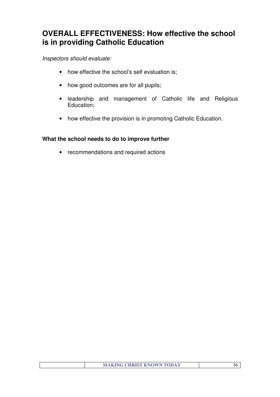# **OVERALL EFFECTIVENESS: How effective the school is in providing Catholic Education**

## Inspectors should evaluate:

- how effective the school's self evaluation is;
- how good outcomes are for all pupils;
- leadership and management of Catholic life and Religious Education;
- how effective the provision is in promoting Catholic Education.

## **What the school needs to do to improve further**

• recommendations and required actions

| <b>MAKING CHRIST KNOWN TODAY</b> |  |
|----------------------------------|--|
|                                  |  |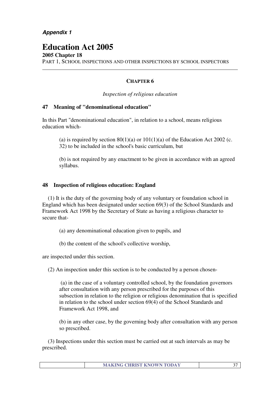# **Education Act 2005**

**2005 Chapter 18** PART 1, SCHOOL INSPECTIONS AND OTHER INSPECTIONS BY SCHOOL INSPECTORS

#### **CHAPTER 6**

*Inspection of religious education*

#### **47 Meaning of "denominational education"**

In this Part "denominational education", in relation to a school, means religious education which-

(a) is required by section  $80(1)(a)$  or  $101(1)(a)$  of the Education Act 2002 (c. 32) to be included in the school's basic curriculum, but

(b) is not required by any enactment to be given in accordance with an agreed syllabus.

#### **48 Inspection of religious education: England**

 (1) It is the duty of the governing body of any voluntary or foundation school in England which has been designated under section 69(3) of the School Standards and Framework Act 1998 by the Secretary of State as having a religious character to secure that-

(a) any denominational education given to pupils, and

(b) the content of the school's collective worship,

are inspected under this section.

(2) An inspection under this section is to be conducted by a person chosen-

 (a) in the case of a voluntary controlled school, by the foundation governors after consultation with any person prescribed for the purposes of this subsection in relation to the religion or religious denomination that is specified in relation to the school under section 69(4) of the School Standards and Framework Act 1998, and

(b) in any other case, by the governing body after consultation with any person so prescribed.

 (3) Inspections under this section must be carried out at such intervals as may be prescribed.

| <b>MAKING CHRIST KNOWN TODAY</b> |  |
|----------------------------------|--|
|                                  |  |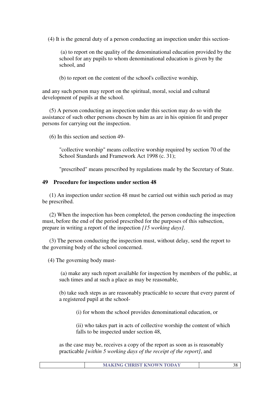(4) It is the general duty of a person conducting an inspection under this section-

 (a) to report on the quality of the denominational education provided by the school for any pupils to whom denominational education is given by the school, and

(b) to report on the content of the school's collective worship,

and any such person may report on the spiritual, moral, social and cultural development of pupils at the school.

 (5) A person conducting an inspection under this section may do so with the assistance of such other persons chosen by him as are in his opinion fit and proper persons for carrying out the inspection.

(6) In this section and section 49-

"collective worship" means collective worship required by section 70 of the School Standards and Framework Act 1998 (c. 31);

"prescribed" means prescribed by regulations made by the Secretary of State.

#### **49 Procedure for inspections under section 48**

 (1) An inspection under section 48 must be carried out within such period as may be prescribed.

 (2) When the inspection has been completed, the person conducting the inspection must, before the end of the period prescribed for the purposes of this subsection, prepare in writing a report of the inspection *[15 working days].*

 (3) The person conducting the inspection must, without delay, send the report to the governing body of the school concerned.

(4) The governing body must-

 (a) make any such report available for inspection by members of the public, at such times and at such a place as may be reasonable,

(b) take such steps as are reasonably practicable to secure that every parent of a registered pupil at the school-

(i) for whom the school provides denominational education, or

(ii) who takes part in acts of collective worship the content of which falls to be inspected under section 48,

as the case may be, receives a copy of the report as soon as is reasonably practicable *[within 5 working days of the receipt of the report]*, and

| <b>MAKING CHRIST KNOWN TODAY</b> |
|----------------------------------|
|----------------------------------|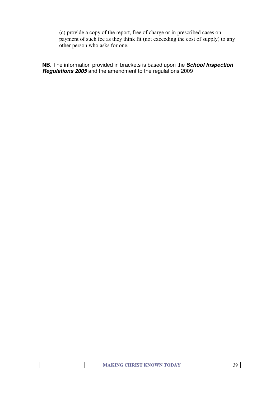(c) provide a copy of the report, free of charge or in prescribed cases on payment of such fee as they think fit (not exceeding the cost of supply) to any other person who asks for one.

**NB.** The information provided in brackets is based upon the **School Inspection Regulations 2005** and the amendment to the regulations 2009

|  | <b>MAKING CHRIST KNOWN TODAY</b> |  |
|--|----------------------------------|--|
|  |                                  |  |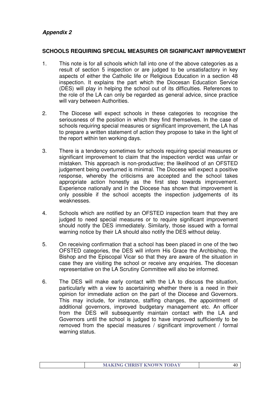# **Appendix 2**

#### **SCHOOLS REQUIRING SPECIAL MEASURES OR SIGNIFICANT IMPROVEMENT**

- 1. This note is for all schools which fall into one of the above categories as a result of section 5 inspection or are judged to be unsatisfactory in key aspects of either the Catholic life or Religious Education in a section 48 inspection. It explains the part which the Diocesan Education Service (DES) will play in helping the school out of its difficulties. References to the role of the LA can only be regarded as general advice, since practice will vary between Authorities.
- 2. The Diocese will expect schools in these categories to recognise the seriousness of the position in which they find themselves. In the case of schools requiring special measures or significant improvement, the LA has to prepare a written statement of action they propose to take in the light of the report within ten working days.
- 3. There is a tendency sometimes for schools requiring special measures or significant improvement to claim that the inspection verdict was unfair or mistaken. This approach is non-productive; the likelihood of an OFSTED judgement being overturned is minimal. The Diocese will expect a positive response, whereby the criticisms are accepted and the school takes appropriate action honestly as the first step towards improvement. Experience nationally and in the Diocese has shown that improvement is only possible if the school accepts the inspection judgements of its weaknesses.
- 4. Schools which are notified by an OFSTED inspection team that they are judged to need special measures or to require significant improvement should notify the DES immediately. Similarly, those issued with a formal warning notice by their LA should also notify the DES without delay.
- 5. On receiving confirmation that a school has been placed in one of the two OFSTED categories, the DES will inform His Grace the Archbishop, the Bishop and the Episcopal Vicar so that they are aware of the situation in case they are visiting the school or receive any enquiries. The diocesan representative on the LA Scrutiny Committee will also be informed.
- 6. The DES will make early contact with the LA to discuss the situation, particularly with a view to ascertaining whether there is a need in their opinion for immediate action on the part of the Diocese and Governors. This may include, for instance, staffing changes, the appointment of additional governors, improved budgetary management etc. An officer from the DES will subsequently maintain contact with the LA and Governors until the school is judged to have improved sufficiently to be removed from the special measures / significant improvement / formal warning status.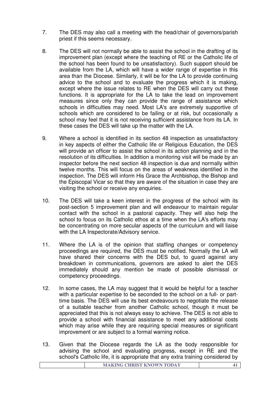- 7. The DES may also call a meeting with the head/chair of governors/parish priest if this seems necessary.
- 8. The DES will not normally be able to assist the school in the drafting of its improvement plan (except where the teaching of RE or the Catholic life of the school has been found to be unsatisfactory). Such support should be available from the LA, which will have a wider range of expertise in this area than the Diocese. Similarly, it will be for the LA to provide continuing advice to the school and to evaluate the progress which it is making, except where the issue relates to RE when the DES will carry out these functions. It is appropriate for the LA to take the lead on improvement measures since only they can provide the range of assistance which schools in difficulties may need. Most LA's are extremely supportive of schools which are considered to be failing or at risk, but occasionally a school may feel that it is not receiving sufficient assistance from its LA. In these cases the DES will take up the matter with the LA.
- 9. Where a school is identified in its section 48 inspection as unsatisfactory in key aspects of either the Catholic life or Religious Education, the DES will provide an officer to assist the school in its action planning and in the resolution of its difficulties. In addition a monitoring visit will be made by an inspector before the next section 48 inspection is due and normally within twelve months. This will focus on the areas of weakness identified in the inspection. The DES will inform His Grace the Archbishop, the Bishop and the Episcopal Vicar so that they are aware of the situation in case they are visiting the school or receive any enquiries.
- 10. The DES will take a keen interest in the progress of the school with its post-section 5 improvement plan and will endeavour to maintain regular contact with the school in a pastoral capacity. They will also help the school to focus on its Catholic ethos at a time when the LA's efforts may be concentrating on more secular aspects of the curriculum and will liaise with the LA Inspectorate/Advisory service.
- 11. Where the LA is of the opinion that staffing changes or competency proceedings are required, the DES must be notified. Normally the LA will have shared their concerns with the DES but, to guard against any breakdown in communications, governors are asked to alert the DES immediately should any mention be made of possible dismissal or competency proceedings.
- 12. In some cases, the LA may suggest that it would be helpful for a teacher with a particular expertise to be seconded to the school on a full- or parttime basis. The DES will use its best endeavours to negotiate the release of a suitable teacher from another Catholic school, though it must be appreciated that this is not always easy to achieve. The DES is not able to provide a school with financial assistance to meet any additional costs which may arise while they are requiring special measures or significant improvement or are subject to a formal warning notice.
- 13. Given that the Diocese regards the LA as the body responsible for advising the school and evaluating progress, except in RE and the school's Catholic life, it is appropriate that any extra training considered by

|  |  | <b>MAKING CHRIST KNOWN TODAY</b> |  |
|--|--|----------------------------------|--|
|--|--|----------------------------------|--|